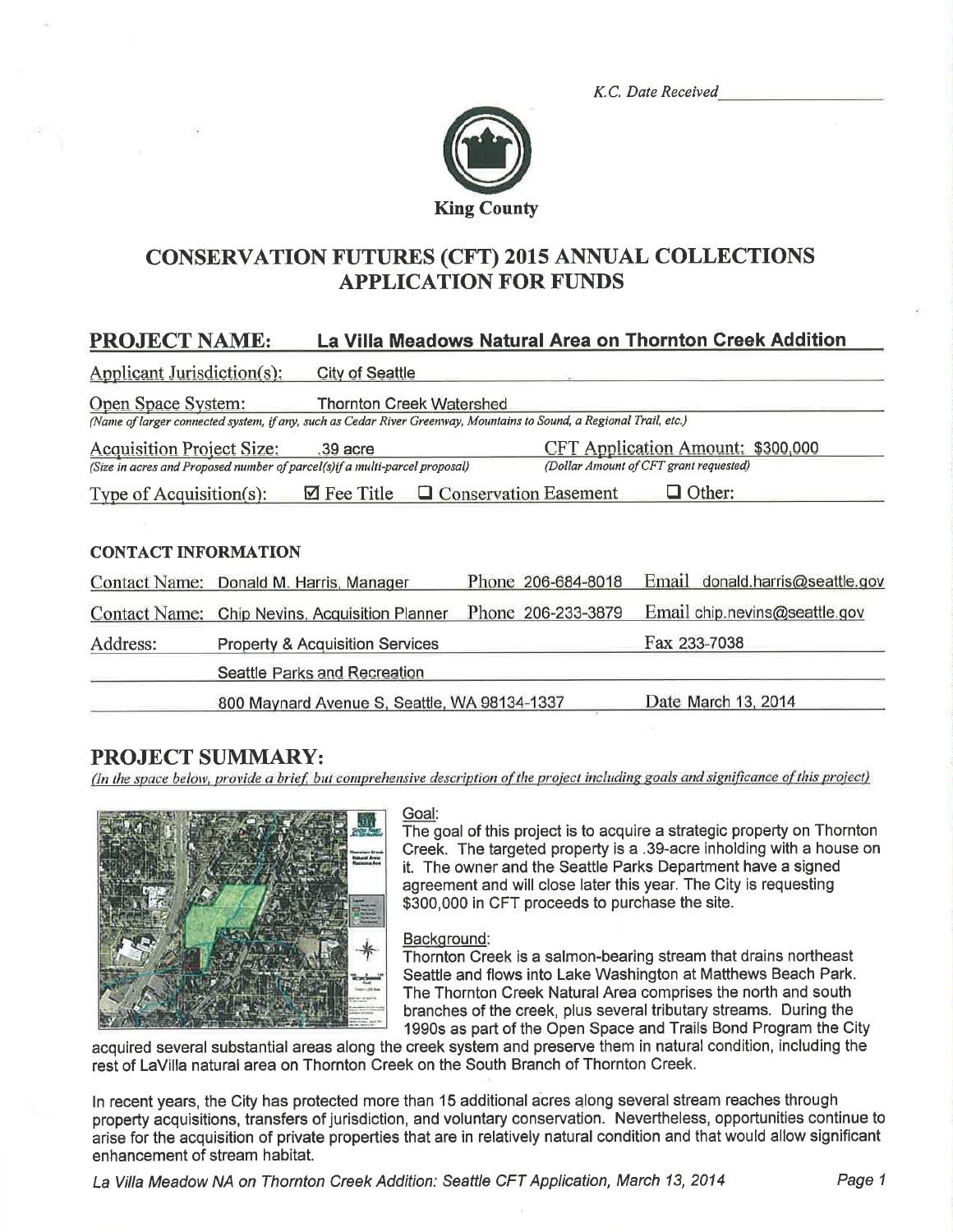K.C. Date Received



# CONSERVATION FUTURES (CFT) 2015 ANNUAL COLLECTIONS **APPLICATION FOR FUNDS**

## PROJECT NAME: La Villa Meadows Natural Area on Thornton Creek Addition

| Applicant Jurisdiction(s):       | <b>City of Seattle</b>                                                                                                                                 |                         |                                                                             |
|----------------------------------|--------------------------------------------------------------------------------------------------------------------------------------------------------|-------------------------|-----------------------------------------------------------------------------|
| Open Space System:               | <b>Thornton Creek Watershed</b><br>(Name of larger connected system, if any, such as Cedar River Greenway, Mountains to Sound, a Regional Trail, etc.) |                         |                                                                             |
| <b>Acquisition Project Size:</b> | .39 acre<br>(Size in acres and Proposed number of parcel(s)if a multi-parcel proposal)                                                                 |                         | CFT Application Amount: \$300,000<br>(Dollar Amount of CFT grant requested) |
| Type of Acquisition(s):          | $\boxtimes$ Fee Title                                                                                                                                  | □ Conservation Easement | Other:                                                                      |
|                                  |                                                                                                                                                        |                         |                                                                             |
| <b>CONTACT INFORMATION</b>       |                                                                                                                                                        |                         |                                                                             |
|                                  | Contact Name: Donald M. Harris, Manager                                                                                                                | Phone 206-684-8018      | Email donald.harris@seattle.gov                                             |
| <b>Contact Name:</b>             | Chip Nevins, Acquisition Planner                                                                                                                       | Phone 206-233-3879      | Email chip.nevins@seattle.gov                                               |
| Address:                         | <b>Property &amp; Acquisition Services</b>                                                                                                             |                         | Fax 233-7038                                                                |
|                                  | Seattle Parks and Recreation                                                                                                                           |                         |                                                                             |
|                                  | 800 Maynard Avenue S, Seattle, WA 98134-1337                                                                                                           |                         | Date March 13, 2014                                                         |

**PROJECT SUMMARY:**<br>(In the space below, provide a brief, but comprehensive description of the project including goals and significance of this project)



#### Goal:

The goal of this project is to acquire a strategic property on Thornton Creek. The targeted property is a .39-acre inholding with a house on it. The owner and the Seattle Parks Department have a signed agreement and will close later this year. The City is requesting \$300,000 in CFT proceeds to purchase the site.

#### Backqround:

Thornton Creek is a salmon-bearing stream that drains northeast Seattle and flows into Lake Washington at Matthews Beach Park. The Thornton Creek Natural Area comprises the north and south branches of the creek, plus several tributary streams. During the 1990s as part of the Open Space and Trails Bond Program the City

acquired several substantial areas along the creek system and preserve them in natural condition, including the rest of LaVilla natural area on Thornton Creek on the South Branch of Thornton Creek,

In recent years, the City has protected more than 15 additional acres along several stream reaches through property acquisitions, transfers of jurisdiction, and voluntary conservation. Nevertheless, opportunities continue to arise for the acquisition of prívate properties that are in relatively natural condition and that would allow significant enhancement of stream habitat.

La Villa Meadow NA on Thornton Creek Addition: Seattle CFT Application, March 13, 2014 Page 1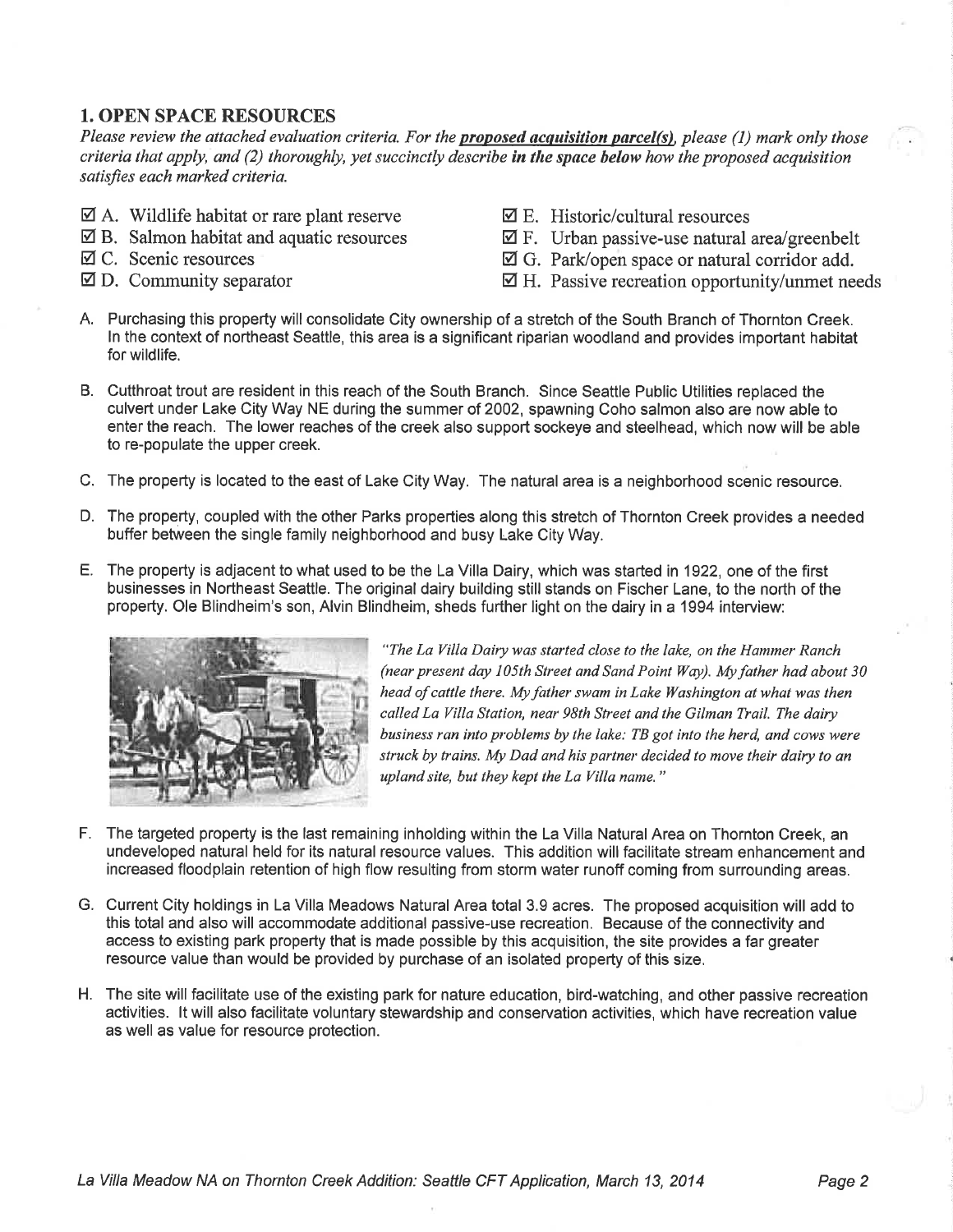## 1. OPEN SPACE RESOURCES

Please review the attached evaluation criteria. For the **proposed acquisition parcel(s)**, please (1) mark only those criteria that apply, and  $(2)$  thoroughly, yet succinctly describe in the space below how the proposed acquisition satisfies each marked criteria.

- $\boxtimes$  A. Wildlife habitat or rare plant reserve
- $\boxtimes$  B. Salmon habitat and aquatic resources
- Ø C. Scenic resources
- $\boxtimes$  D. Community separator
- $\boxtimes$  E. Historic/cultural resources
- $\boxtimes$  F. Urban passive-use natural area/greenbelt
- $\boxtimes$  G. Park/open space or natural corridor add.
- $\boxtimes$  H. Passive recreation opportunity/unmet needs
- A. Purchasing this property will consolidate City ownership of a stretch of the South Branch of Thornton Creek. ln the context of northeast Seattle, this area is a significant riparian woodland and provides important habitat for wildlife.
- B. Cutthroat trout are resident in this reach of the South Branch. Since Seattle Public Utilities replaced the culvert under Lake City Way NE during the summer of 2002, spawning Coho salmon also are now able to enter the reach. The lower reaches of the creek also support sockeye and steelhead, which now will be able to re-populate the upper creek.
- C. The property is located to the east of Lake City Way. The natural area is a neighborhood scenic resource.
- D. The property, coupled with the other Parks properties along this stretch of Thornton Creek provides a needed butfer between the single family neighborhood and busy Lake City Way.
- E. The property is adjacent to what used to be the La Villa Dairy, which was started in 1922, one of the first businesses in Northeast Seattle. The original dairy building still stands on Fischer Lane, to the north of the property. Ole Blindheim's son, Alvin Blindheim, sheds further light on the dairy in a 1994 interview:



"The La Villa Dairy was started close to the lake, on the Hammer Ranch (near present day 105th Street and Sand Point Wøy). Myfather had about 30 head of cattle there. My father swam in Lake Washington at what was then called La Villa Station, near 98th Street and the Gilman Trail. The dairy business ran into problems by the lake: TB got into the herd, and cows were struck by trains. My Dad and his partner decided to move their dairy to an upland site, but they kept the La Villa name."

- F. The targeted property is the last remaining inholding within the La Villa Natural Area on Thornton Creek, an undeveloped natural held for its natural resource values. This addition willfacilitate stream enhancement and increased floodplain retention of high flow resulting from storm water runoff coming from surrounding areas.
- G. Current City holdings in La Villa Meadows Natural Area total 3.9 acres. The proposed acquisition will add to this total and also will accommodate additional passive-use recreation. Because of the connectivity and access to existing park property that is made possible by this acquisition, the site provides a far greater resource value than would be provided by purchase of an isolated property of this size.
- H. The site will facilitate use of the existing park for nature education, bird-watching, and other passive recreation activities. lt will also facilitate voluntary stewardship and conservation activities, which have recreation value as well as value for resource protection.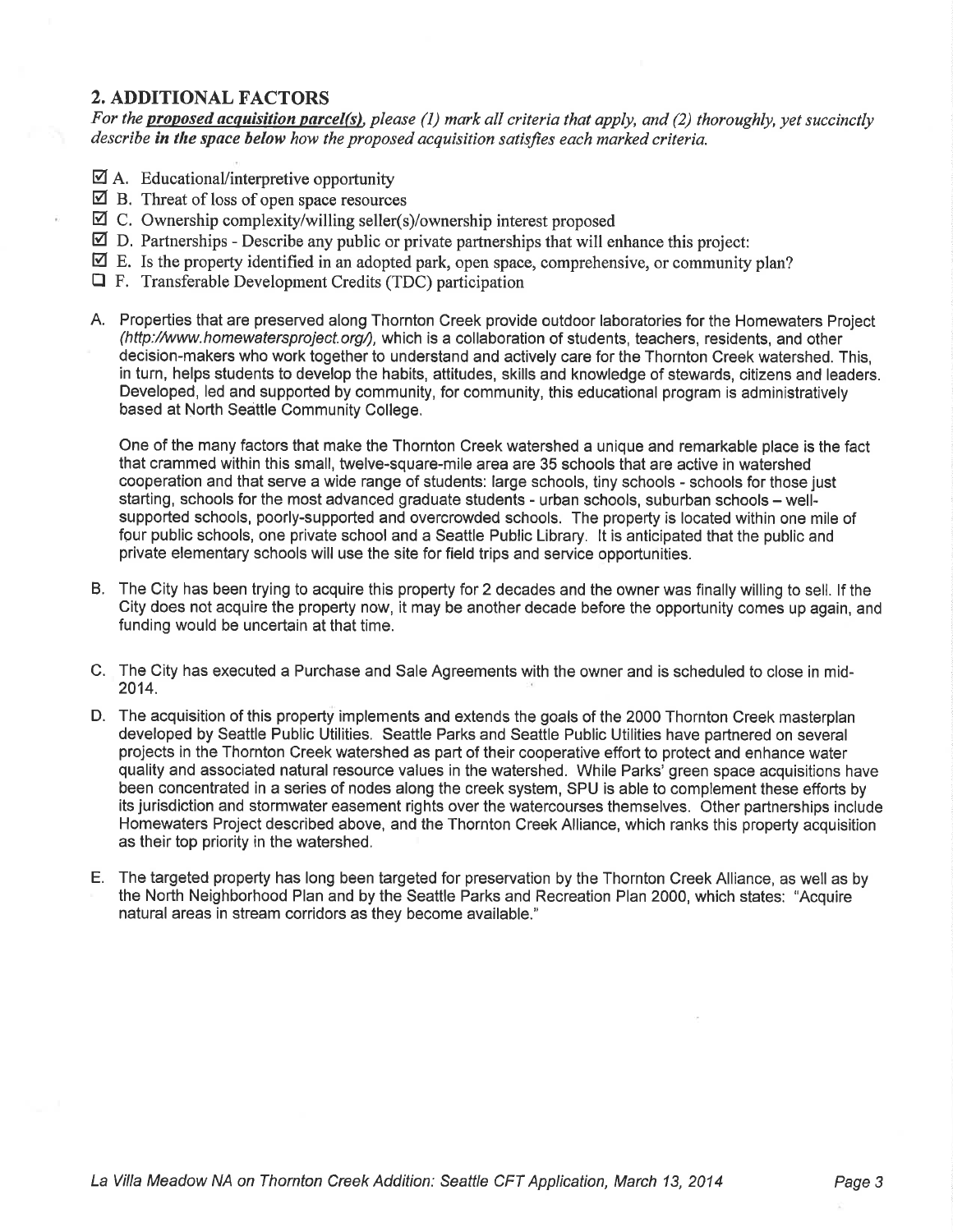## 2. ADDITIONAL FACTORS

For the **proposed acquisition parcel(s)**, please (1) mark all criteria that apply, and (2) thoroughly, yet succinctly describe in the space below how the proposed acquisition satisfies each marked criteria.

- $\boxtimes$  A. Educational/interpretive opportunity
- $\boxtimes$  B. Threat of loss of open space resources
- $\boxtimes$  C. Ownership complexity/willing seller(s)/ownership interest proposed
- $\boxtimes$  D. Partnerships Describe any public or private partnerships that will enhance this project:
- $\boxtimes$  E. Is the property identified in an adopted park, open space, comprehensive, or community plan?
- $\Box$  F. Transferable Development Credits (TDC) participation
- A. Properties that are preserved along Thornton Creek provide outdoor laboratories for the Homewaters Project (hftp://www.homewatersproject.org/), which is a collaboration of students, teachers, residents, and other decision-makers who work together to understand and actively care for the Thornton Creek watershed. This, in turn, helps students to develop the habits, attitudes, skills and knowledge of stewards, citizens and leaders. Developed, led and supported by community, for community, this educational program is administratively based at North Seattle Community College,

One of the many factors that make the Thornton Creek watershed a unique and remarkable place is the fact that crammed within this small, twelve-square-mile area are 35 schools that are active in watershed cooperation and that serve a wide range of students: large schools, tiny schools - schools for those just starting, schools for the most advanced graduate students - urban schools, suburban schools – wellsupported schools, poorly-supported and overcrowded schools. The property is located within one mile of fgur public schools, one private school and a Seattle Public Library. lt is anticipated that the public and private elementary schools will use the site for field trips and service opportunities.

- B. The City has been trying to acquire this property for 2 decades and the owner was finally willing to sell. lf the City does not acquire the property now, it may be another decade before the opportunity comes up again, and funding would be uncertain at that time.
- C. The City has executed a Purchase and Sale Agreements with the owner and is scheduled to close in mid-2014.
- D. The acquisition of this property implements and extends the goals of the 2000 Thornton Creek masterplan developed by Seattle Public Utilities. Seattle Parks and Seattle Public Utilities have partnered on several projects in the Thornton Creek watershed as part of their cooperative etfort to protect and enhance water quality and associated natural resource values in the watershed. While Parks' green space acquisitions have been concentrated in a series of nodes along the creek system, SPU is able to complement these efforts by its jurisdiction and stormwater easement rights over the watercourses themselves. Other partnerships include Homewaters Project described above, and the Thornton Creek Alliance, which ranks this property acquisition as their top priority in the watershed.
- E. The targeted property has long been targeted for preservation by the Thornton Creek Alliance, as well as by the North Neighborhood Plan and by the Seattle Parks and Recreation Plan 2000, which states: "Acquire natural areas in stream corridors as they become available."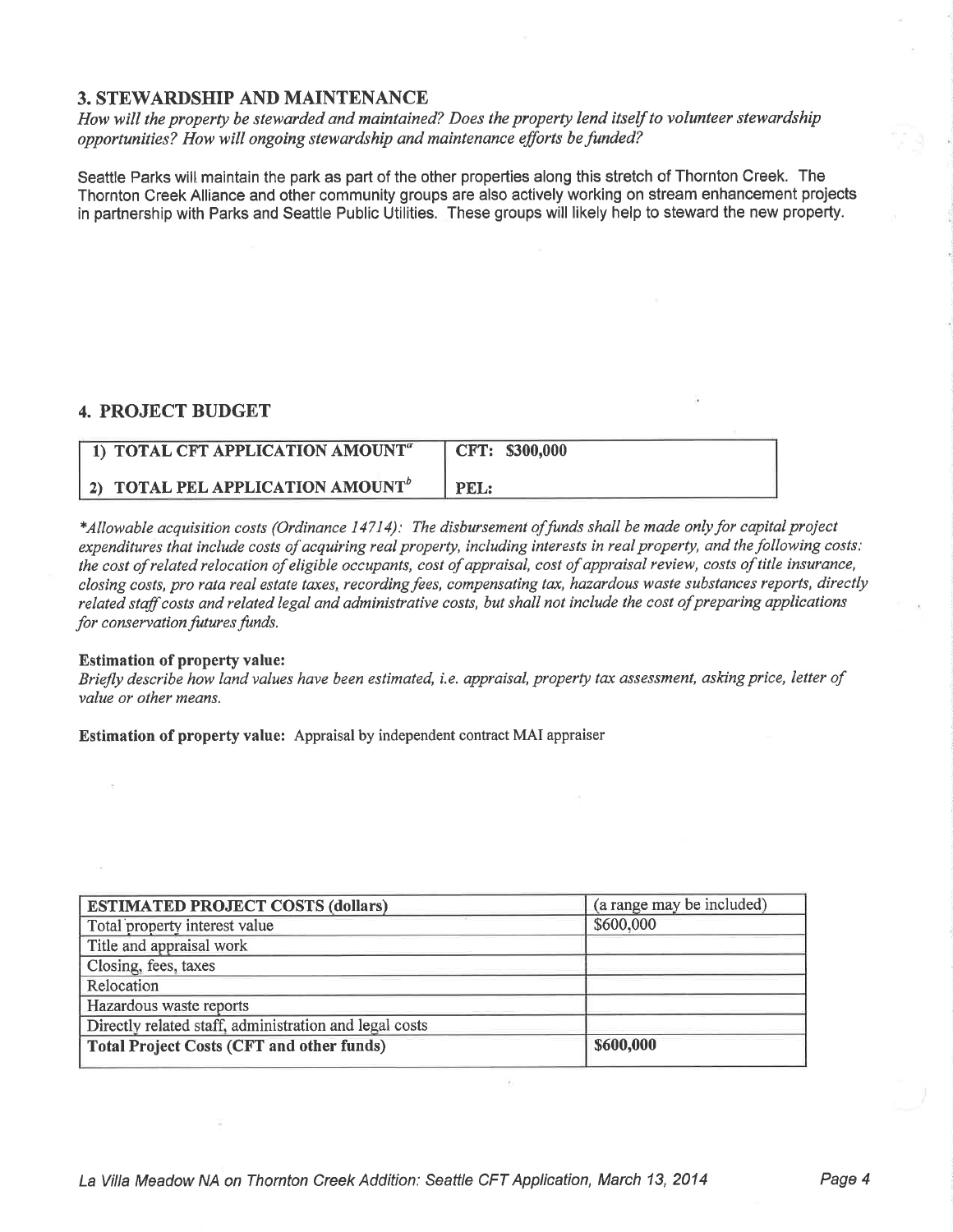#### 3. STEWARDSHIP AND MAINTENANCE

How will the property be stewarded and maintained? Does the property lend itself to volunteer stewardship opportunities? How will ongoing stewardship and maintenance efforts befunded?

Seattle Parks will maintain the park as part of the other properties along this stretch of Thornton Creek. The Thornton Creek Alliance and other community groups are also actively working on stream enhancement projects in partnership with Parks and Seattle Public Utilities. These groups will likely help to steward the new property.

### 4. PROJECT BUDGET

| 1) TOTAL CFT APPLICATION AMOUNT <sup><i>a</i></sup> | CFT: \$300,000 |
|-----------------------------------------------------|----------------|
| 2) TOTAL PEL APPLICATION AMOUNT <sup>b</sup>        | PEL:           |

\*Allowable acquisition costs (Ordinance 14714): The disbursement of funds shall be made only for capital project expenditures that include costs of acquiring real property, including interests in real property, and the following costs: the cost of related relocation of eligible occupants, cost of appraisal, cost of appraisal review, costs of title insurance, closing costs, pro rata real estate taxes, recording fees, compensating tax, hazardous waste substances reports, directly related staffcosts and related legal and administrative costs, but shall not include the cost of preparing applícations for conservation futures funds.

#### Estimation of property value:

Briefly describe how land values have been estimated, i.e. appraisal, property tax assessment, askíng príce, letter of value or other means.

Estimation of property value: Appraisal by independent contract MAI appraiser

| <b>ESTIMATED PROJECT COSTS (dollars)</b>               | (a range may be included) |
|--------------------------------------------------------|---------------------------|
| Total property interest value                          | \$600,000                 |
| Title and appraisal work                               |                           |
| Closing, fees, taxes                                   |                           |
| Relocation                                             |                           |
| Hazardous waste reports                                |                           |
| Directly related staff, administration and legal costs |                           |
| <b>Total Project Costs (CFT and other funds)</b>       | \$600,000                 |

w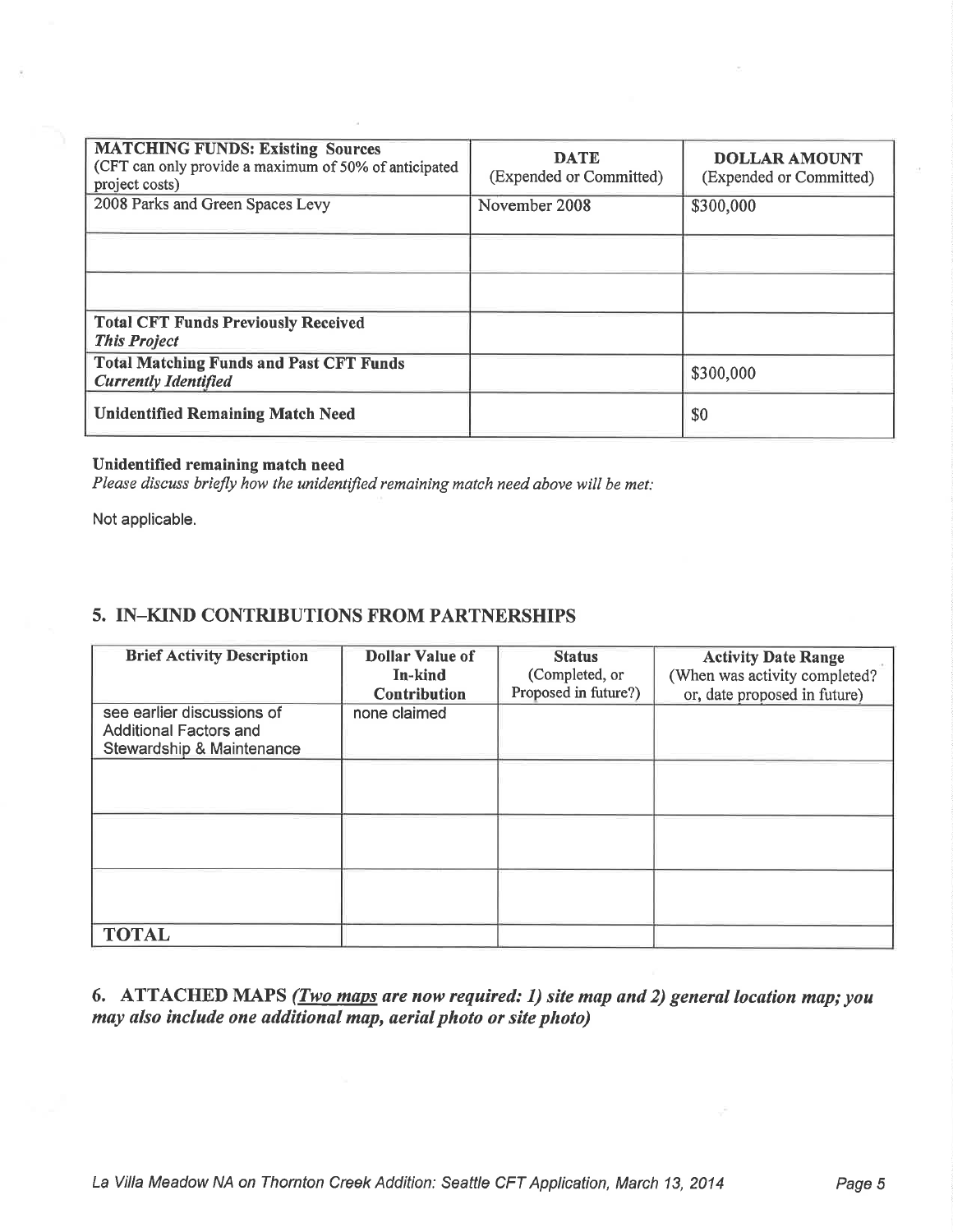| <b>MATCHING FUNDS: Existing Sources</b><br>(CFT can only provide a maximum of 50% of anticipated<br>project costs) | <b>DATE</b><br>(Expended or Committed) | <b>DOLLAR AMOUNT</b><br>(Expended or Committed) |
|--------------------------------------------------------------------------------------------------------------------|----------------------------------------|-------------------------------------------------|
| 2008 Parks and Green Spaces Levy                                                                                   | November 2008                          | \$300,000                                       |
|                                                                                                                    |                                        |                                                 |
|                                                                                                                    |                                        |                                                 |
| <b>Total CFT Funds Previously Received</b><br><b>This Project</b>                                                  |                                        |                                                 |
| <b>Total Matching Funds and Past CFT Funds</b><br><b>Currently Identified</b>                                      |                                        | \$300,000                                       |
| <b>Unidentified Remaining Match Need</b>                                                                           |                                        | \$0                                             |

#### Unidentified remaining match need

Please discuss briefly how the unidentified remaining match need above will be met:

Not applicable.

## 5. IN-KIND CONTRIBUTIONS FROM PARTNERSHIPS

| <b>Brief Activity Description</b>                                                        | <b>Dollar Value of</b><br>In-kind   | <b>Status</b><br>(Completed, or<br>Proposed in future?) | <b>Activity Date Range</b><br>(When was activity completed? |
|------------------------------------------------------------------------------------------|-------------------------------------|---------------------------------------------------------|-------------------------------------------------------------|
| see earlier discussions of<br><b>Additional Factors and</b><br>Stewardship & Maintenance | <b>Contribution</b><br>none claimed |                                                         | or, date proposed in future)                                |
|                                                                                          |                                     |                                                         |                                                             |
|                                                                                          |                                     |                                                         |                                                             |
|                                                                                          |                                     |                                                         |                                                             |
| <b>TOTAL</b>                                                                             |                                     |                                                         |                                                             |

6. ATTACHED MAPS (*Two maps are now required: 1) site map and 2) general location map; you* may also include one additional map, aerial photo or site photo)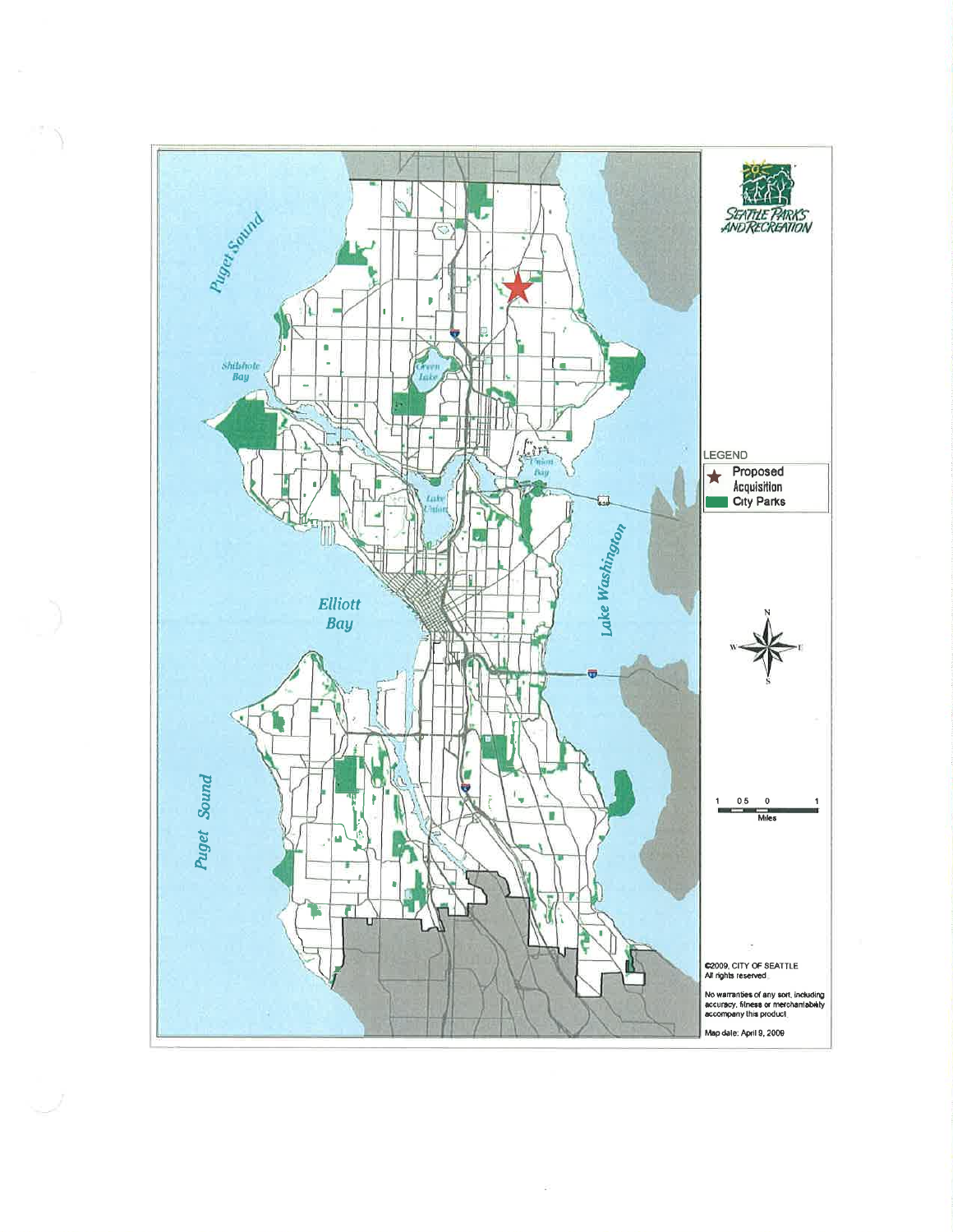